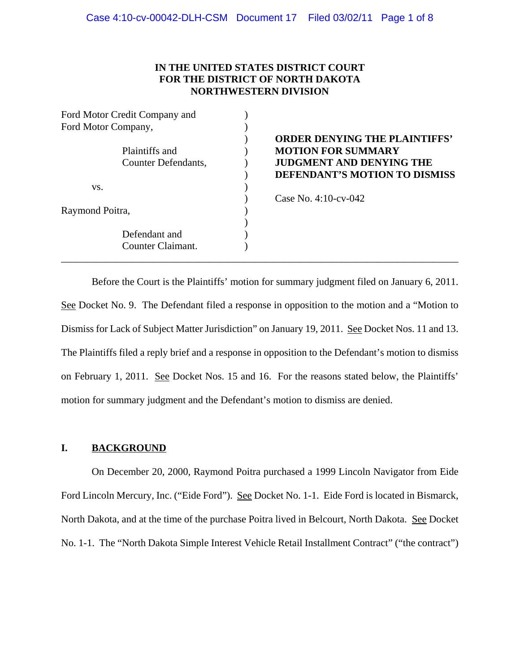# **IN THE UNITED STATES DISTRICT COURT FOR THE DISTRICT OF NORTH DAKOTA NORTHWESTERN DIVISION**

| Ford Motor Credit Company and |                   |                                                                   |
|-------------------------------|-------------------|-------------------------------------------------------------------|
| Ford Motor Company,           |                   |                                                                   |
|                               | Plaintiffs and    | <b>ORDER DENYING THE PLAINTIFFS'</b><br><b>MOTION FOR SUMMARY</b> |
| Counter Defendants,           |                   | <b>JUDGMENT AND DENYING THE</b>                                   |
|                               |                   | DEFENDANT'S MOTION TO DISMISS                                     |
| VS.                           |                   |                                                                   |
|                               |                   | Case No. $4:10$ -cv-042                                           |
| Raymond Poitra,               |                   |                                                                   |
|                               |                   |                                                                   |
| Defendant and                 |                   |                                                                   |
|                               | Counter Claimant. |                                                                   |

# ) **ORDER DENYING THE PLAINTIFFS' MOTION FOR SUMMARY** JUDGMENT AND DENYING THE ) **DEFENDANT'S MOTION TO DISMISS**

Before the Court is the Plaintiffs' motion for summary judgment filed on January 6, 2011. See Docket No. 9. The Defendant filed a response in opposition to the motion and a "Motion to Dismiss for Lack of Subject Matter Jurisdiction" on January 19, 2011. See Docket Nos. 11 and 13. The Plaintiffs filed a reply brief and a response in opposition to the Defendant's motion to dismiss on February 1, 2011. See Docket Nos. 15 and 16. For the reasons stated below, the Plaintiffs' motion for summary judgment and the Defendant's motion to dismiss are denied.

# **I. BACKGROUND**

On December 20, 2000, Raymond Poitra purchased a 1999 Lincoln Navigator from Eide Ford Lincoln Mercury, Inc. ("Eide Ford"). See Docket No. 1-1. Eide Ford is located in Bismarck, North Dakota, and at the time of the purchase Poitra lived in Belcourt, North Dakota. See Docket No. 1-1. The "North Dakota Simple Interest Vehicle Retail Installment Contract" ("the contract")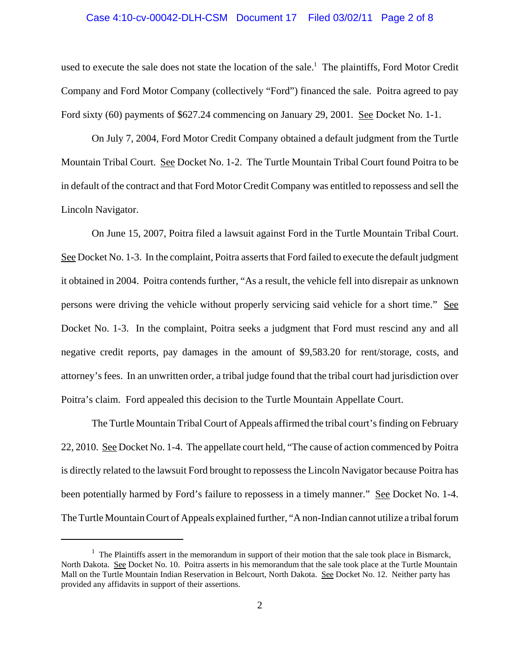### Case 4:10-cv-00042-DLH-CSM Document 17 Filed 03/02/11 Page 2 of 8

used to execute the sale does not state the location of the sale.<sup>1</sup> The plaintiffs, Ford Motor Credit Company and Ford Motor Company (collectively "Ford") financed the sale. Poitra agreed to pay Ford sixty (60) payments of \$627.24 commencing on January 29, 2001. See Docket No. 1-1.

On July 7, 2004, Ford Motor Credit Company obtained a default judgment from the Turtle Mountain Tribal Court. See Docket No. 1-2. The Turtle Mountain Tribal Court found Poitra to be in default of the contract and that Ford Motor Credit Company was entitled to repossess and sell the Lincoln Navigator.

On June 15, 2007, Poitra filed a lawsuit against Ford in the Turtle Mountain Tribal Court. See Docket No. 1-3. In the complaint, Poitra asserts that Ford failed to execute the default judgment it obtained in 2004. Poitra contends further, "As a result, the vehicle fell into disrepair as unknown persons were driving the vehicle without properly servicing said vehicle for a short time." See Docket No. 1-3. In the complaint, Poitra seeks a judgment that Ford must rescind any and all negative credit reports, pay damages in the amount of \$9,583.20 for rent/storage, costs, and attorney's fees. In an unwritten order, a tribal judge found that the tribal court had jurisdiction over Poitra's claim. Ford appealed this decision to the Turtle Mountain Appellate Court.

The Turtle Mountain Tribal Court of Appeals affirmed the tribal court's finding on February 22, 2010. See Docket No. 1-4. The appellate court held, "The cause of action commenced by Poitra is directly related to the lawsuit Ford brought to repossess the Lincoln Navigator because Poitra has been potentially harmed by Ford's failure to repossess in a timely manner." See Docket No. 1-4. The Turtle Mountain Court of Appeals explained further, "A non-Indian cannot utilize a tribal forum

 $<sup>1</sup>$  The Plaintiffs assert in the memorandum in support of their motion that the sale took place in Bismarck,</sup> North Dakota. See Docket No. 10. Poitra asserts in his memorandum that the sale took place at the Turtle Mountain Mall on the Turtle Mountain Indian Reservation in Belcourt, North Dakota. See Docket No. 12. Neither party has provided any affidavits in support of their assertions.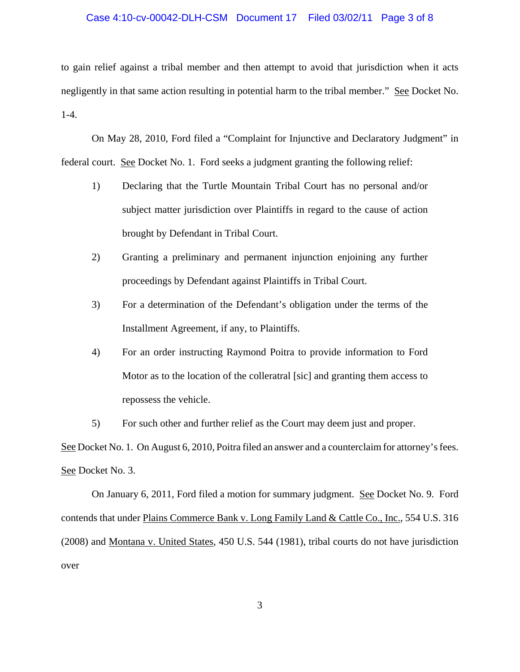### Case 4:10-cv-00042-DLH-CSM Document 17 Filed 03/02/11 Page 3 of 8

to gain relief against a tribal member and then attempt to avoid that jurisdiction when it acts negligently in that same action resulting in potential harm to the tribal member." See Docket No. 1-4.

On May 28, 2010, Ford filed a "Complaint for Injunctive and Declaratory Judgment" in federal court. See Docket No. 1. Ford seeks a judgment granting the following relief:

- 1) Declaring that the Turtle Mountain Tribal Court has no personal and/or subject matter jurisdiction over Plaintiffs in regard to the cause of action brought by Defendant in Tribal Court.
- 2) Granting a preliminary and permanent injunction enjoining any further proceedings by Defendant against Plaintiffs in Tribal Court.
- 3) For a determination of the Defendant's obligation under the terms of the Installment Agreement, if any, to Plaintiffs.
- 4) For an order instructing Raymond Poitra to provide information to Ford Motor as to the location of the colleratral [sic] and granting them access to repossess the vehicle.
- 5) For such other and further relief as the Court may deem just and proper.

See Docket No. 1. On August 6, 2010, Poitra filed an answer and a counterclaim for attorney's fees. See Docket No. 3.

On January 6, 2011, Ford filed a motion for summary judgment. See Docket No. 9. Ford contends that under Plains Commerce Bank v. Long Family Land & Cattle Co., Inc., 554 U.S. 316 (2008) and Montana v. United States, 450 U.S. 544 (1981), tribal courts do not have jurisdiction over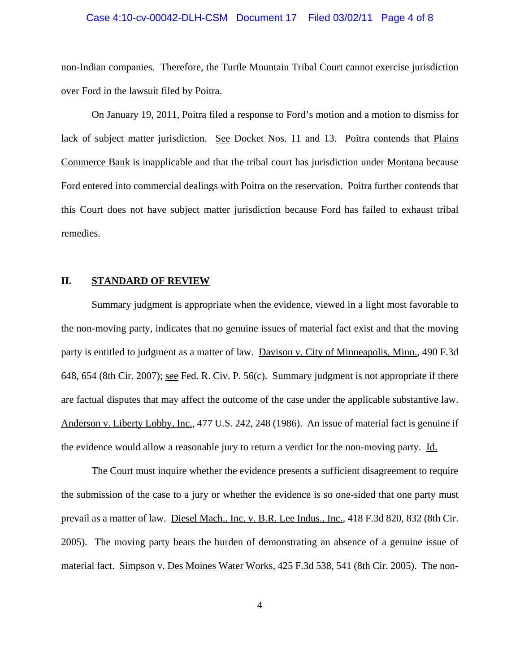#### Case 4:10-cv-00042-DLH-CSM Document 17 Filed 03/02/11 Page 4 of 8

non-Indian companies. Therefore, the Turtle Mountain Tribal Court cannot exercise jurisdiction over Ford in the lawsuit filed by Poitra.

On January 19, 2011, Poitra filed a response to Ford's motion and a motion to dismiss for lack of subject matter jurisdiction. See Docket Nos. 11 and 13. Poitra contends that Plains Commerce Bank is inapplicable and that the tribal court has jurisdiction under Montana because Ford entered into commercial dealings with Poitra on the reservation. Poitra further contends that this Court does not have subject matter jurisdiction because Ford has failed to exhaust tribal remedies.

### **II. STANDARD OF REVIEW**

Summary judgment is appropriate when the evidence, viewed in a light most favorable to the non-moving party, indicates that no genuine issues of material fact exist and that the moving party is entitled to judgment as a matter of law. Davison v. City of Minneapolis, Minn., 490 F.3d 648, 654 (8th Cir. 2007); see Fed. R. Civ. P. 56(c). Summary judgment is not appropriate if there are factual disputes that may affect the outcome of the case under the applicable substantive law. Anderson v. Liberty Lobby, Inc., 477 U.S. 242, 248 (1986). An issue of material fact is genuine if the evidence would allow a reasonable jury to return a verdict for the non-moving party. Id.

The Court must inquire whether the evidence presents a sufficient disagreement to require the submission of the case to a jury or whether the evidence is so one-sided that one party must prevail as a matter of law. Diesel Mach., Inc. v. B.R. Lee Indus., Inc., 418 F.3d 820, 832 (8th Cir. 2005). The moving party bears the burden of demonstrating an absence of a genuine issue of material fact. Simpson v. Des Moines Water Works, 425 F.3d 538, 541 (8th Cir. 2005). The non-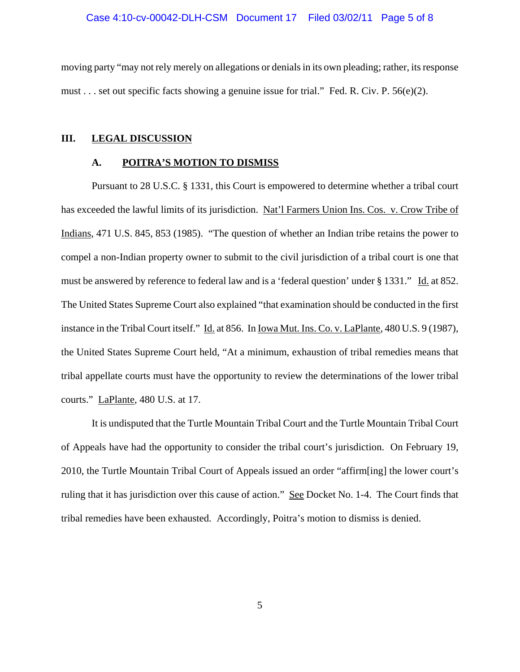#### Case 4:10-cv-00042-DLH-CSM Document 17 Filed 03/02/11 Page 5 of 8

moving party "may not rely merely on allegations or denials in its own pleading; rather, its response must . . . set out specific facts showing a genuine issue for trial." Fed. R. Civ. P. 56(e)(2).

#### **III. LEGAL DISCUSSION**

#### **A. POITRA'S MOTION TO DISMISS**

Pursuant to 28 U.S.C. § 1331, this Court is empowered to determine whether a tribal court has exceeded the lawful limits of its jurisdiction. Nat'l Farmers Union Ins. Cos. v. Crow Tribe of Indians, 471 U.S. 845, 853 (1985). "The question of whether an Indian tribe retains the power to compel a non-Indian property owner to submit to the civil jurisdiction of a tribal court is one that must be answered by reference to federal law and is a 'federal question' under § 1331." Id. at 852. The United States Supreme Court also explained "that examination should be conducted in the first instance in the Tribal Court itself." Id. at 856. In Iowa Mut. Ins. Co. v. LaPlante, 480 U.S. 9 (1987), the United States Supreme Court held, "At a minimum, exhaustion of tribal remedies means that tribal appellate courts must have the opportunity to review the determinations of the lower tribal courts." LaPlante, 480 U.S. at 17.

It is undisputed that the Turtle Mountain Tribal Court and the Turtle Mountain Tribal Court of Appeals have had the opportunity to consider the tribal court's jurisdiction. On February 19, 2010, the Turtle Mountain Tribal Court of Appeals issued an order "affirm[ing] the lower court's ruling that it has jurisdiction over this cause of action." See Docket No. 1-4. The Court finds that tribal remedies have been exhausted. Accordingly, Poitra's motion to dismiss is denied.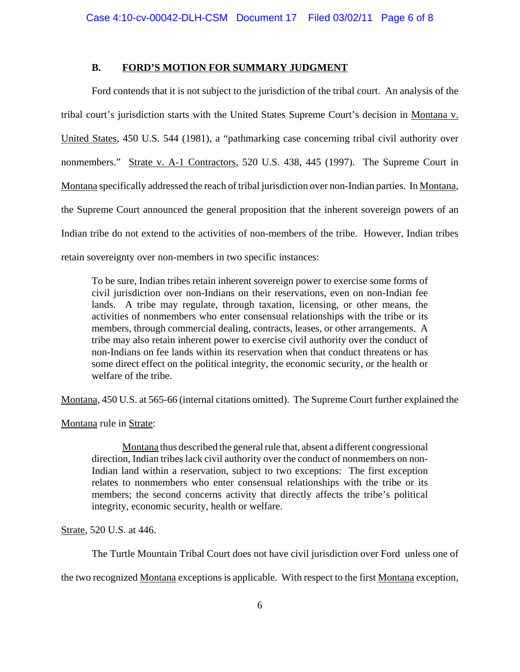# **B. FORD'S MOTION FOR SUMMARY JUDGMENT**

Ford contends that it is not subject to the jurisdiction of the tribal court. An analysis of the tribal court's jurisdiction starts with the United States Supreme Court's decision in Montana v. United States, 450 U.S. 544 (1981), a "pathmarking case concerning tribal civil authority over nonmembers." Strate v. A-1 Contractors, 520 U.S. 438, 445 (1997). The Supreme Court in Montana specifically addressed the reach of tribal jurisdiction over non-Indian parties. In Montana, the Supreme Court announced the general proposition that the inherent sovereign powers of an Indian tribe do not extend to the activities of non-members of the tribe. However, Indian tribes retain sovereignty over non-members in two specific instances:

To be sure, Indian tribes retain inherent sovereign power to exercise some forms of civil jurisdiction over non-Indians on their reservations, even on non-Indian fee lands. A tribe may regulate, through taxation, licensing, or other means, the activities of nonmembers who enter consensual relationships with the tribe or its members, through commercial dealing, contracts, leases, or other arrangements. A tribe may also retain inherent power to exercise civil authority over the conduct of non-Indians on fee lands within its reservation when that conduct threatens or has some direct effect on the political integrity, the economic security, or the health or welfare of the tribe.

Montana, 450 U.S. at 565-66 (internal citations omitted). The Supreme Court further explained the

Montana rule in Strate:

Montana thus described the general rule that, absent a different congressional direction, Indian tribes lack civil authority over the conduct of nonmembers on non-Indian land within a reservation, subject to two exceptions: The first exception relates to nonmembers who enter consensual relationships with the tribe or its members; the second concerns activity that directly affects the tribe's political integrity, economic security, health or welfare.

Strate, 520 U.S. at 446.

The Turtle Mountain Tribal Court does not have civil jurisdiction over Ford unless one of

the two recognized Montana exceptions is applicable. With respect to the first Montana exception,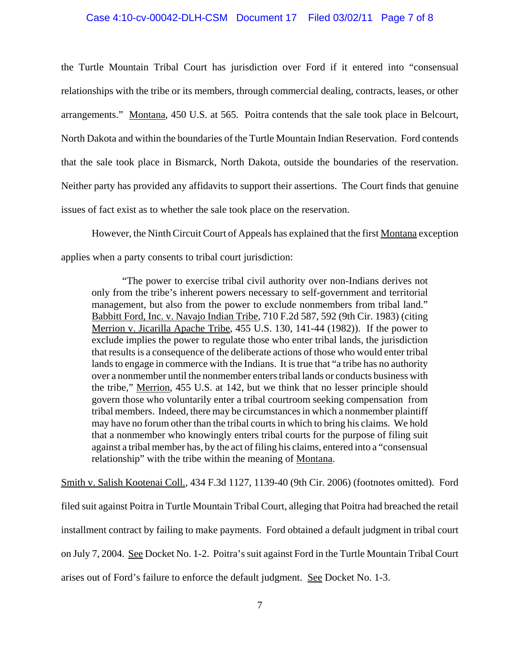### Case 4:10-cv-00042-DLH-CSM Document 17 Filed 03/02/11 Page 7 of 8

the Turtle Mountain Tribal Court has jurisdiction over Ford if it entered into "consensual relationships with the tribe or its members, through commercial dealing, contracts, leases, or other arrangements." Montana, 450 U.S. at 565. Poitra contends that the sale took place in Belcourt, North Dakota and within the boundaries of the Turtle Mountain Indian Reservation. Ford contends that the sale took place in Bismarck, North Dakota, outside the boundaries of the reservation. Neither party has provided any affidavits to support their assertions. The Court finds that genuine issues of fact exist as to whether the sale took place on the reservation.

However, the Ninth Circuit Court of Appeals has explained that the first Montana exception applies when a party consents to tribal court jurisdiction:

"The power to exercise tribal civil authority over non-Indians derives not only from the tribe's inherent powers necessary to self-government and territorial management, but also from the power to exclude nonmembers from tribal land." Babbitt Ford, Inc. v. Navajo Indian Tribe, 710 F.2d 587, 592 (9th Cir. 1983) (citing Merrion v. Jicarilla Apache Tribe, 455 U.S. 130, 141-44 (1982)). If the power to exclude implies the power to regulate those who enter tribal lands, the jurisdiction that results is a consequence of the deliberate actions of those who would enter tribal lands to engage in commerce with the Indians. It is true that "a tribe has no authority over a nonmember until the nonmember enters tribal lands or conducts business with the tribe," Merrion, 455 U.S. at 142, but we think that no lesser principle should govern those who voluntarily enter a tribal courtroom seeking compensation from tribal members. Indeed, there may be circumstances in which a nonmember plaintiff may have no forum other than the tribal courts in which to bring his claims. We hold that a nonmember who knowingly enters tribal courts for the purpose of filing suit against a tribal member has, by the act of filing his claims, entered into a "consensual relationship" with the tribe within the meaning of Montana.

Smith v. Salish Kootenai Coll., 434 F.3d 1127, 1139-40 (9th Cir. 2006) (footnotes omitted). Ford filed suit against Poitra in Turtle Mountain Tribal Court, alleging that Poitra had breached the retail installment contract by failing to make payments. Ford obtained a default judgment in tribal court on July 7, 2004. See Docket No. 1-2. Poitra's suit against Ford in the Turtle Mountain Tribal Court arises out of Ford's failure to enforce the default judgment. See Docket No. 1-3.